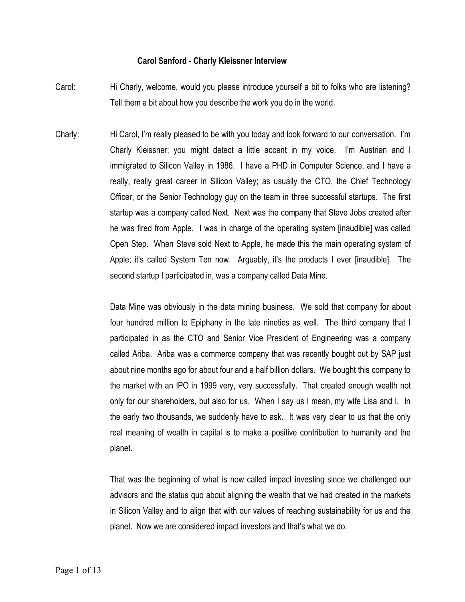## **Carol Sanford - Charly Kleissner Interview**

- Carol: Hi Charly, welcome, would you please introduce yourself a bit to folks who are listening? Tell them a bit about how you describe the work you do in the world.
- Charly: Hi Carol, I'm really pleased to be with you today and look forward to our conversation. I'm Charly Kleissner; you might detect a little accent in my voice. I'm Austrian and I immigrated to Silicon Valley in 1986. I have a PHD in Computer Science, and I have a really, really great career in Silicon Valley; as usually the CTO, the Chief Technology Officer, or the Senior Technology guy on the team in three successful startups. The first startup was a company called Next. Next was the company that Steve Jobs created after he was fired from Apple. I was in charge of the operating system [inaudible] was called Open Step. When Steve sold Next to Apple, he made this the main operating system of Apple; it's called System Ten now. Arguably, it's the products I ever [inaudible]. The second startup I participated in, was a company called Data Mine.

Data Mine was obviously in the data mining business. We sold that company for about four hundred million to Epiphany in the late nineties as well. The third company that I participated in as the CTO and Senior Vice President of Engineering was a company called Ariba. Ariba was a commerce company that was recently bought out by SAP just about nine months ago for about four and a half billion dollars. We bought this company to the market with an IPO in 1999 very, very successfully. That created enough wealth not only for our shareholders, but also for us. When I say us I mean, my wife Lisa and I. In the early two thousands, we suddenly have to ask. It was very clear to us that the only real meaning of wealth in capital is to make a positive contribution to humanity and the planet.

That was the beginning of what is now called impact investing since we challenged our advisors and the status quo about aligning the wealth that we had created in the markets in Silicon Valley and to align that with our values of reaching sustainability for us and the planet. Now we are considered impact investors and that's what we do.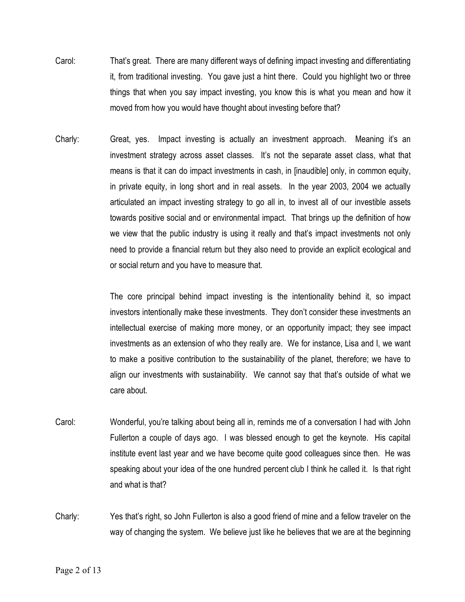- Carol: That's great. There are many different ways of defining impact investing and differentiating it, from traditional investing. You gave just a hint there. Could you highlight two or three things that when you say impact investing, you know this is what you mean and how it moved from how you would have thought about investing before that?
- Charly: Great, yes. Impact investing is actually an investment approach. Meaning it's an investment strategy across asset classes. It's not the separate asset class, what that means is that it can do impact investments in cash, in [inaudible] only, in common equity, in private equity, in long short and in real assets. In the year 2003, 2004 we actually articulated an impact investing strategy to go all in, to invest all of our investible assets towards positive social and or environmental impact. That brings up the definition of how we view that the public industry is using it really and that's impact investments not only need to provide a financial return but they also need to provide an explicit ecological and or social return and you have to measure that.

The core principal behind impact investing is the intentionality behind it, so impact investors intentionally make these investments. They don't consider these investments an intellectual exercise of making more money, or an opportunity impact; they see impact investments as an extension of who they really are. We for instance, Lisa and I, we want to make a positive contribution to the sustainability of the planet, therefore; we have to align our investments with sustainability. We cannot say that that's outside of what we care about.

- Carol: Wonderful, you're talking about being all in, reminds me of a conversation I had with John Fullerton a couple of days ago. I was blessed enough to get the keynote. His capital institute event last year and we have become quite good colleagues since then. He was speaking about your idea of the one hundred percent club I think he called it. Is that right and what is that?
- Charly: Yes that's right, so John Fullerton is also a good friend of mine and a fellow traveler on the way of changing the system. We believe just like he believes that we are at the beginning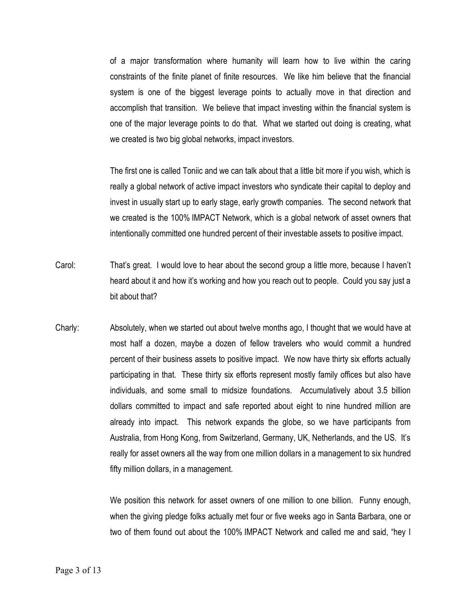of a major transformation where humanity will learn how to live within the caring constraints of the finite planet of finite resources. We like him believe that the financial system is one of the biggest leverage points to actually move in that direction and accomplish that transition. We believe that impact investing within the financial system is one of the major leverage points to do that. What we started out doing is creating, what we created is two big global networks, impact investors.

The first one is called Toniic and we can talk about that a little bit more if you wish, which is really a global network of active impact investors who syndicate their capital to deploy and invest in usually start up to early stage, early growth companies. The second network that we created is the 100% IMPACT Network, which is a global network of asset owners that intentionally committed one hundred percent of their investable assets to positive impact.

- Carol: That's great. I would love to hear about the second group a little more, because I haven't heard about it and how it's working and how you reach out to people. Could you say just a bit about that?
- Charly: Absolutely, when we started out about twelve months ago, I thought that we would have at most half a dozen, maybe a dozen of fellow travelers who would commit a hundred percent of their business assets to positive impact. We now have thirty six efforts actually participating in that. These thirty six efforts represent mostly family offices but also have individuals, and some small to midsize foundations. Accumulatively about 3.5 billion dollars committed to impact and safe reported about eight to nine hundred million are already into impact. This network expands the globe, so we have participants from Australia, from Hong Kong, from Switzerland, Germany, UK, Netherlands, and the US. It's really for asset owners all the way from one million dollars in a management to six hundred fifty million dollars, in a management.

We position this network for asset owners of one million to one billion. Funny enough, when the giving pledge folks actually met four or five weeks ago in Santa Barbara, one or two of them found out about the 100% IMPACT Network and called me and said, "hey I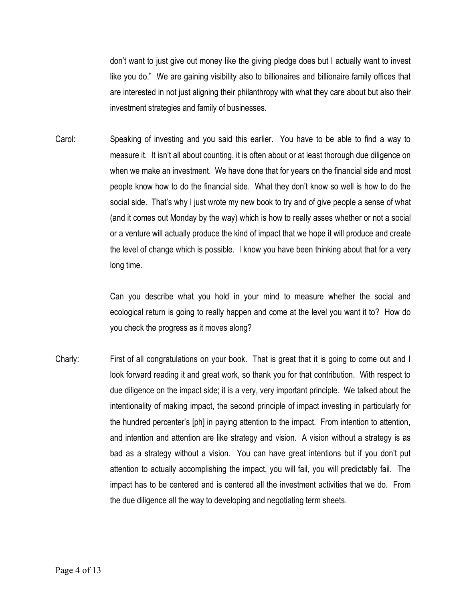don't want to just give out money like the giving pledge does but I actually want to invest like you do." We are gaining visibility also to billionaires and billionaire family offices that are interested in not just aligning their philanthropy with what they care about but also their investment strategies and family of businesses.

Carol: Speaking of investing and you said this earlier. You have to be able to find a way to measure it. It isn't all about counting, it is often about or at least thorough due diligence on when we make an investment. We have done that for years on the financial side and most people know how to do the financial side. What they don't know so well is how to do the social side. That's why I just wrote my new book to try and of give people a sense of what (and it comes out Monday by the way) which is how to really asses whether or not a social or a venture will actually produce the kind of impact that we hope it will produce and create the level of change which is possible. I know you have been thinking about that for a very long time.

> Can you describe what you hold in your mind to measure whether the social and ecological return is going to really happen and come at the level you want it to? How do you check the progress as it moves along?

Charly: First of all congratulations on your book. That is great that it is going to come out and I look forward reading it and great work, so thank you for that contribution. With respect to due diligence on the impact side; it is a very, very important principle. We talked about the intentionality of making impact, the second principle of impact investing in particularly for the hundred percenter's [ph] in paying attention to the impact. From intention to attention, and intention and attention are like strategy and vision. A vision without a strategy is as bad as a strategy without a vision. You can have great intentions but if you don't put attention to actually accomplishing the impact, you will fail, you will predictably fail. The impact has to be centered and is centered all the investment activities that we do. From the due diligence all the way to developing and negotiating term sheets.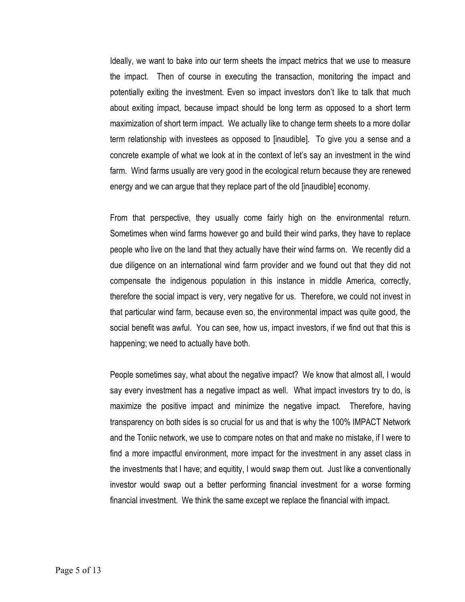Ideally, we want to bake into our term sheets the impact metrics that we use to measure the impact. Then of course in executing the transaction, monitoring the impact and potentially exiting the investment. Even so impact investors don't like to talk that much about exiting impact, because impact should be long term as opposed to a short term maximization of short term impact. We actually like to change term sheets to a more dollar term relationship with investees as opposed to [inaudible]. To give you a sense and a concrete example of what we look at in the context of let's say an investment in the wind farm. Wind farms usually are very good in the ecological return because they are renewed energy and we can argue that they replace part of the old [inaudible] economy.

From that perspective, they usually come fairly high on the environmental return. Sometimes when wind farms however go and build their wind parks, they have to replace people who live on the land that they actually have their wind farms on. We recently did a due diligence on an international wind farm provider and we found out that they did not compensate the indigenous population in this instance in middle America, correctly, therefore the social impact is very, very negative for us. Therefore, we could not invest in that particular wind farm, because even so, the environmental impact was quite good, the social benefit was awful. You can see, how us, impact investors, if we find out that this is happening; we need to actually have both.

People sometimes say, what about the negative impact? We know that almost all, I would say every investment has a negative impact as well. What impact investors try to do, is maximize the positive impact and minimize the negative impact. Therefore, having transparency on both sides is so crucial for us and that is why the 100% IMPACT Network and the Toniic network, we use to compare notes on that and make no mistake, if I were to find a more impactful environment, more impact for the investment in any asset class in the investments that I have; and equitity, I would swap them out. Just like a conventionally investor would swap out a better performing financial investment for a worse forming financial investment. We think the same except we replace the financial with impact.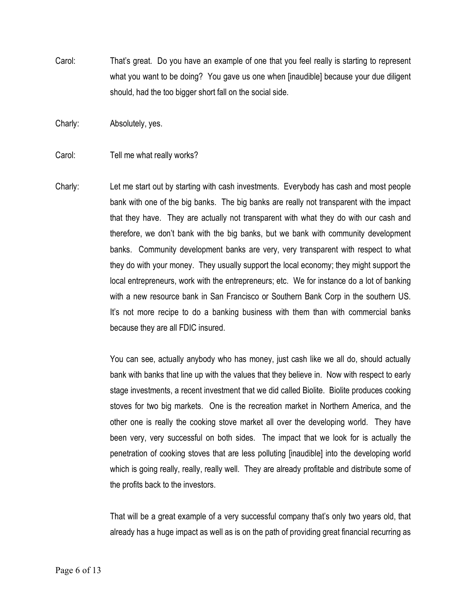Carol: That's great. Do you have an example of one that you feel really is starting to represent what you want to be doing? You gave us one when [inaudible] because your due diligent should, had the too bigger short fall on the social side.

Charly: Absolutely, yes.

## Carol: Tell me what really works?

Charly: Let me start out by starting with cash investments. Everybody has cash and most people bank with one of the big banks. The big banks are really not transparent with the impact that they have. They are actually not transparent with what they do with our cash and therefore, we don't bank with the big banks, but we bank with community development banks. Community development banks are very, very transparent with respect to what they do with your money. They usually support the local economy; they might support the local entrepreneurs, work with the entrepreneurs; etc. We for instance do a lot of banking with a new resource bank in San Francisco or Southern Bank Corp in the southern US. It's not more recipe to do a banking business with them than with commercial banks because they are all FDIC insured.

> You can see, actually anybody who has money, just cash like we all do, should actually bank with banks that line up with the values that they believe in. Now with respect to early stage investments, a recent investment that we did called Biolite. Biolite produces cooking stoves for two big markets. One is the recreation market in Northern America, and the other one is really the cooking stove market all over the developing world. They have been very, very successful on both sides. The impact that we look for is actually the penetration of cooking stoves that are less polluting [inaudible] into the developing world which is going really, really, really well. They are already profitable and distribute some of the profits back to the investors.

> That will be a great example of a very successful company that's only two years old, that already has a huge impact as well as is on the path of providing great financial recurring as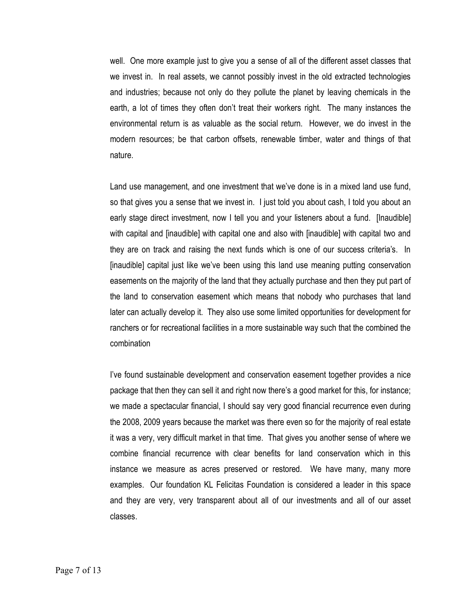well. One more example just to give you a sense of all of the different asset classes that we invest in. In real assets, we cannot possibly invest in the old extracted technologies and industries; because not only do they pollute the planet by leaving chemicals in the earth, a lot of times they often don't treat their workers right. The many instances the environmental return is as valuable as the social return. However, we do invest in the modern resources; be that carbon offsets, renewable timber, water and things of that nature.

Land use management, and one investment that we've done is in a mixed land use fund, so that gives you a sense that we invest in. I just told you about cash, I told you about an early stage direct investment, now I tell you and your listeners about a fund. [Inaudible] with capital and [inaudible] with capital one and also with [inaudible] with capital two and they are on track and raising the next funds which is one of our success criteria's. In [inaudible] capital just like we've been using this land use meaning putting conservation easements on the majority of the land that they actually purchase and then they put part of the land to conservation easement which means that nobody who purchases that land later can actually develop it. They also use some limited opportunities for development for ranchers or for recreational facilities in a more sustainable way such that the combined the combination

I've found sustainable development and conservation easement together provides a nice package that then they can sell it and right now there's a good market for this, for instance; we made a spectacular financial, I should say very good financial recurrence even during the 2008, 2009 years because the market was there even so for the majority of real estate it was a very, very difficult market in that time. That gives you another sense of where we combine financial recurrence with clear benefits for land conservation which in this instance we measure as acres preserved or restored. We have many, many more examples. Our foundation KL Felicitas Foundation is considered a leader in this space and they are very, very transparent about all of our investments and all of our asset classes.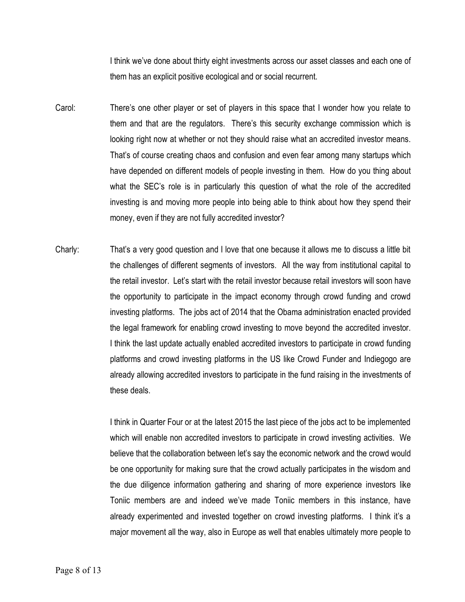I think we've done about thirty eight investments across our asset classes and each one of them has an explicit positive ecological and or social recurrent.

- Carol: There's one other player or set of players in this space that I wonder how you relate to them and that are the regulators. There's this security exchange commission which is looking right now at whether or not they should raise what an accredited investor means. That's of course creating chaos and confusion and even fear among many startups which have depended on different models of people investing in them. How do you thing about what the SEC's role is in particularly this question of what the role of the accredited investing is and moving more people into being able to think about how they spend their money, even if they are not fully accredited investor?
- Charly: That's a very good question and I love that one because it allows me to discuss a little bit the challenges of different segments of investors. All the way from institutional capital to the retail investor. Let's start with the retail investor because retail investors will soon have the opportunity to participate in the impact economy through crowd funding and crowd investing platforms. The jobs act of 2014 that the Obama administration enacted provided the legal framework for enabling crowd investing to move beyond the accredited investor. I think the last update actually enabled accredited investors to participate in crowd funding platforms and crowd investing platforms in the US like Crowd Funder and Indiegogo are already allowing accredited investors to participate in the fund raising in the investments of these deals.

I think in Quarter Four or at the latest 2015 the last piece of the jobs act to be implemented which will enable non accredited investors to participate in crowd investing activities. We believe that the collaboration between let's say the economic network and the crowd would be one opportunity for making sure that the crowd actually participates in the wisdom and the due diligence information gathering and sharing of more experience investors like Toniic members are and indeed we've made Toniic members in this instance, have already experimented and invested together on crowd investing platforms. I think it's a major movement all the way, also in Europe as well that enables ultimately more people to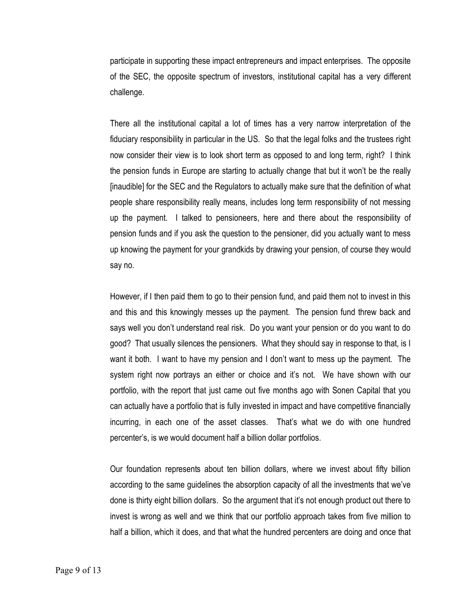participate in supporting these impact entrepreneurs and impact enterprises. The opposite of the SEC, the opposite spectrum of investors, institutional capital has a very different challenge.

There all the institutional capital a lot of times has a very narrow interpretation of the fiduciary responsibility in particular in the US. So that the legal folks and the trustees right now consider their view is to look short term as opposed to and long term, right? I think the pension funds in Europe are starting to actually change that but it won't be the really [inaudible] for the SEC and the Regulators to actually make sure that the definition of what people share responsibility really means, includes long term responsibility of not messing up the payment. I talked to pensioneers, here and there about the responsibility of pension funds and if you ask the question to the pensioner, did you actually want to mess up knowing the payment for your grandkids by drawing your pension, of course they would say no.

However, if I then paid them to go to their pension fund, and paid them not to invest in this and this and this knowingly messes up the payment. The pension fund threw back and says well you don't understand real risk. Do you want your pension or do you want to do good? That usually silences the pensioners. What they should say in response to that, is I want it both. I want to have my pension and I don't want to mess up the payment. The system right now portrays an either or choice and it's not. We have shown with our portfolio, with the report that just came out five months ago with Sonen Capital that you can actually have a portfolio that is fully invested in impact and have competitive financially incurring, in each one of the asset classes. That's what we do with one hundred percenter's, is we would document half a billion dollar portfolios.

Our foundation represents about ten billion dollars, where we invest about fifty billion according to the same guidelines the absorption capacity of all the investments that we've done is thirty eight billion dollars. So the argument that it's not enough product out there to invest is wrong as well and we think that our portfolio approach takes from five million to half a billion, which it does, and that what the hundred percenters are doing and once that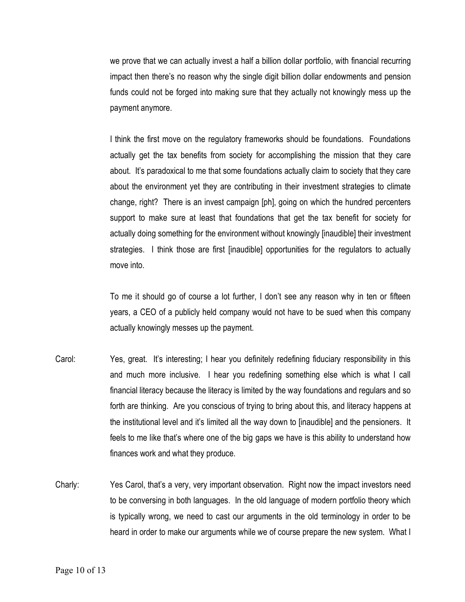we prove that we can actually invest a half a billion dollar portfolio, with financial recurring impact then there's no reason why the single digit billion dollar endowments and pension funds could not be forged into making sure that they actually not knowingly mess up the payment anymore.

I think the first move on the regulatory frameworks should be foundations. Foundations actually get the tax benefits from society for accomplishing the mission that they care about. It's paradoxical to me that some foundations actually claim to society that they care about the environment yet they are contributing in their investment strategies to climate change, right? There is an invest campaign [ph], going on which the hundred percenters support to make sure at least that foundations that get the tax benefit for society for actually doing something for the environment without knowingly [inaudible] their investment strategies. I think those are first [inaudible] opportunities for the regulators to actually move into.

To me it should go of course a lot further, I don't see any reason why in ten or fifteen years, a CEO of a publicly held company would not have to be sued when this company actually knowingly messes up the payment.

- Carol: Yes, great. It's interesting; I hear you definitely redefining fiduciary responsibility in this and much more inclusive. I hear you redefining something else which is what I call financial literacy because the literacy is limited by the way foundations and regulars and so forth are thinking. Are you conscious of trying to bring about this, and literacy happens at the institutional level and it's limited all the way down to [inaudible] and the pensioners. It feels to me like that's where one of the big gaps we have is this ability to understand how finances work and what they produce.
- Charly: Yes Carol, that's a very, very important observation. Right now the impact investors need to be conversing in both languages. In the old language of modern portfolio theory which is typically wrong, we need to cast our arguments in the old terminology in order to be heard in order to make our arguments while we of course prepare the new system. What I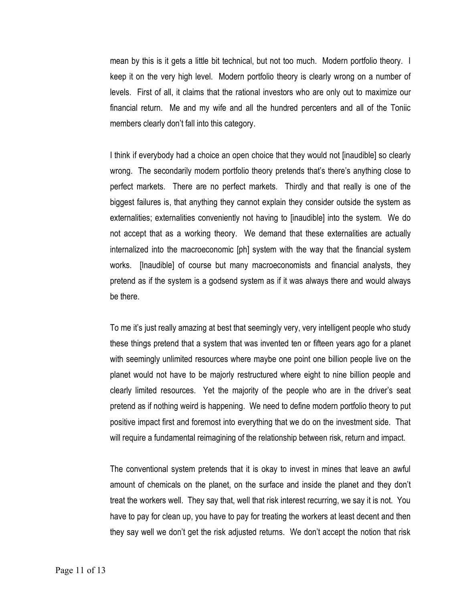mean by this is it gets a little bit technical, but not too much. Modern portfolio theory. I keep it on the very high level. Modern portfolio theory is clearly wrong on a number of levels. First of all, it claims that the rational investors who are only out to maximize our financial return. Me and my wife and all the hundred percenters and all of the Toniic members clearly don't fall into this category.

I think if everybody had a choice an open choice that they would not [inaudible] so clearly wrong. The secondarily modern portfolio theory pretends that's there's anything close to perfect markets. There are no perfect markets. Thirdly and that really is one of the biggest failures is, that anything they cannot explain they consider outside the system as externalities; externalities conveniently not having to [inaudible] into the system. We do not accept that as a working theory. We demand that these externalities are actually internalized into the macroeconomic [ph] system with the way that the financial system works. [Inaudible] of course but many macroeconomists and financial analysts, they pretend as if the system is a godsend system as if it was always there and would always be there.

To me it's just really amazing at best that seemingly very, very intelligent people who study these things pretend that a system that was invented ten or fifteen years ago for a planet with seemingly unlimited resources where maybe one point one billion people live on the planet would not have to be majorly restructured where eight to nine billion people and clearly limited resources. Yet the majority of the people who are in the driver's seat pretend as if nothing weird is happening. We need to define modern portfolio theory to put positive impact first and foremost into everything that we do on the investment side. That will require a fundamental reimagining of the relationship between risk, return and impact.

The conventional system pretends that it is okay to invest in mines that leave an awful amount of chemicals on the planet, on the surface and inside the planet and they don't treat the workers well. They say that, well that risk interest recurring, we say it is not. You have to pay for clean up, you have to pay for treating the workers at least decent and then they say well we don't get the risk adjusted returns. We don't accept the notion that risk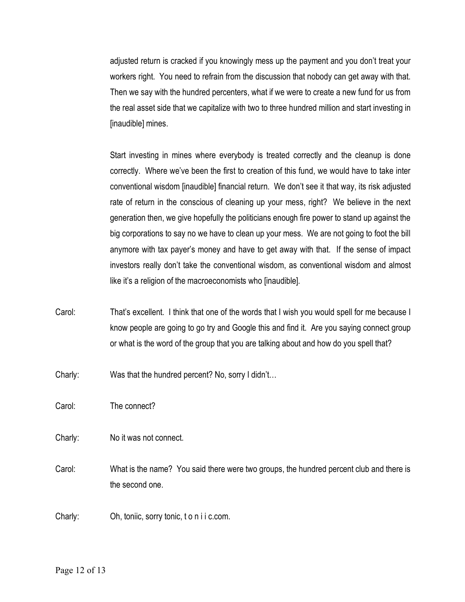adjusted return is cracked if you knowingly mess up the payment and you don't treat your workers right. You need to refrain from the discussion that nobody can get away with that. Then we say with the hundred percenters, what if we were to create a new fund for us from the real asset side that we capitalize with two to three hundred million and start investing in [inaudible] mines.

Start investing in mines where everybody is treated correctly and the cleanup is done correctly. Where we've been the first to creation of this fund, we would have to take inter conventional wisdom [inaudible] financial return. We don't see it that way, its risk adjusted rate of return in the conscious of cleaning up your mess, right? We believe in the next generation then, we give hopefully the politicians enough fire power to stand up against the big corporations to say no we have to clean up your mess. We are not going to foot the bill anymore with tax payer's money and have to get away with that. If the sense of impact investors really don't take the conventional wisdom, as conventional wisdom and almost like it's a religion of the macroeconomists who [inaudible].

- Carol: That's excellent. I think that one of the words that I wish you would spell for me because I know people are going to go try and Google this and find it. Are you saying connect group or what is the word of the group that you are talking about and how do you spell that?
- Charly: Was that the hundred percent? No, sorry I didn't…

Carol: The connect?

Charly: No it was not connect.

Carol: What is the name? You said there were two groups, the hundred percent club and there is the second one.

Charly: Oh, toniic, sorry tonic, t o n i i c.com.